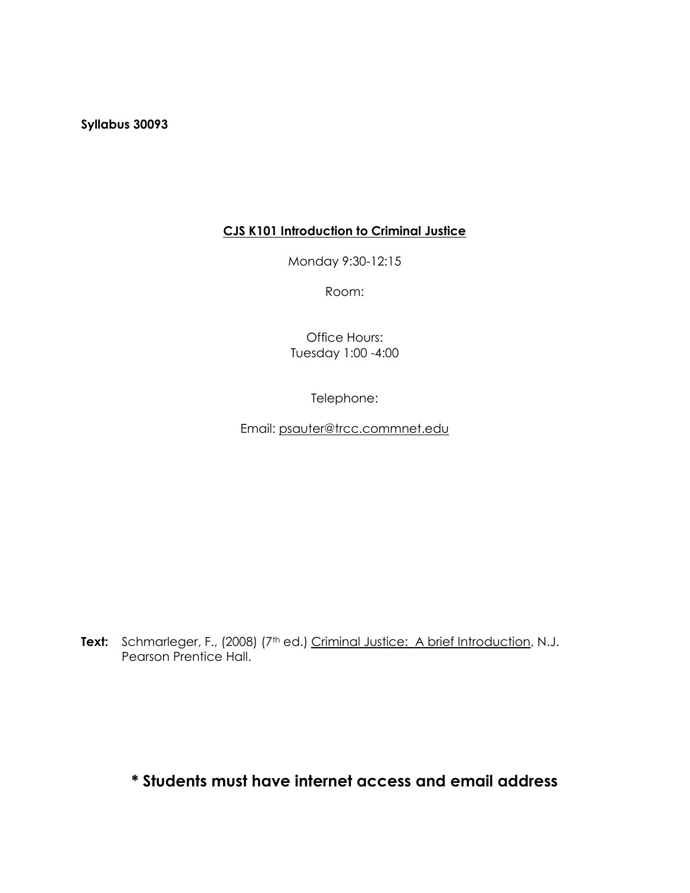**Syllabus 30093**

# **CJS K101 Introduction to Criminal Justice**

Monday 9:30-12:15

Room:

Office Hours: Tuesday 1:00 -4:00

Telephone:

Email: [psauter@trcc.commnet.edu](mailto:psauter@trcc.commnet.edu)

Text: Schmarleger, F., (2008) (7<sup>th</sup> ed.) Criminal Justice: A brief Introduction, N.J. Pearson Prentice Hall.

**\* Students must have internet access and email address**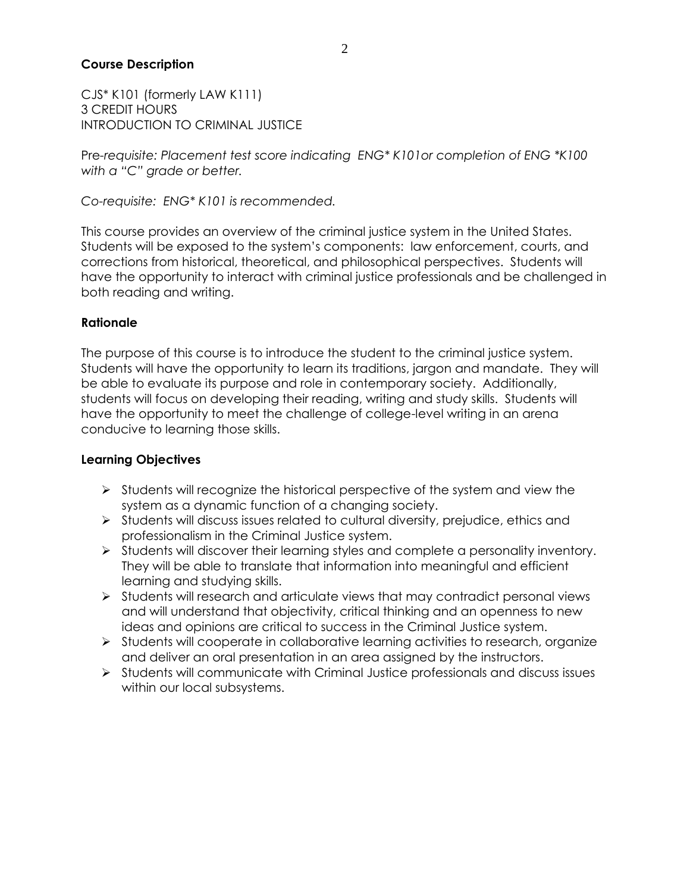### **Course Description**

CJS\* K101 (formerly LAW K111) 3 CREDIT HOURS INTRODUCTION TO CRIMINAL JUSTICE

Pre*-requisite: Placement test score indicating ENG\* K101or completion of ENG \*K100 with a "C" grade or better.*

*Co-requisite: ENG\* K101 is recommended.*

This course provides an overview of the criminal justice system in the United States. Students will be exposed to the system's components: law enforcement, courts, and corrections from historical, theoretical, and philosophical perspectives. Students will have the opportunity to interact with criminal justice professionals and be challenged in both reading and writing.

### **Rationale**

The purpose of this course is to introduce the student to the criminal justice system. Students will have the opportunity to learn its traditions, jargon and mandate. They will be able to evaluate its purpose and role in contemporary society. Additionally, students will focus on developing their reading, writing and study skills. Students will have the opportunity to meet the challenge of college-level writing in an arena conducive to learning those skills.

## **Learning Objectives**

- $\triangleright$  Students will recognize the historical perspective of the system and view the system as a dynamic function of a changing society.
- $\triangleright$  Students will discuss issues related to cultural diversity, prejudice, ethics and professionalism in the Criminal Justice system.
- $\triangleright$  Students will discover their learning styles and complete a personality inventory. They will be able to translate that information into meaningful and efficient learning and studying skills.
- $\triangleright$  Students will research and articulate views that may contradict personal views and will understand that objectivity, critical thinking and an openness to new ideas and opinions are critical to success in the Criminal Justice system.
- $\triangleright$  Students will cooperate in collaborative learning activities to research, organize and deliver an oral presentation in an area assigned by the instructors.
- $\triangleright$  Students will communicate with Criminal Justice professionals and discuss issues within our local subsystems.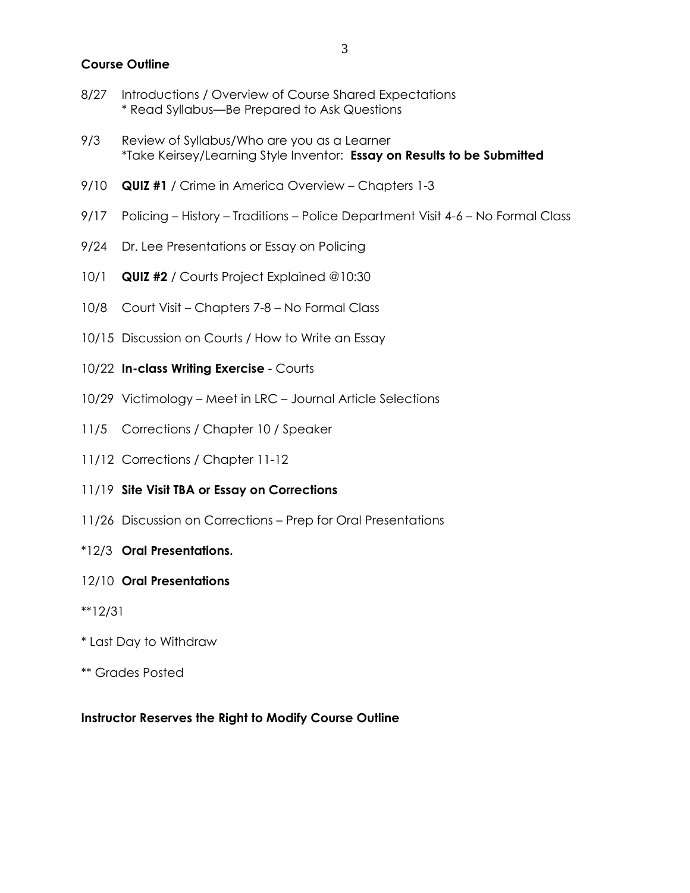#### **Course Outline**

- 8/27 Introductions / Overview of Course Shared Expectations \* Read Syllabus—Be Prepared to Ask Questions
- 9/3 Review of Syllabus/Who are you as a Learner \*Take Keirsey/Learning Style Inventor: **Essay on Results to be Submitted**
- 9/10 **QUIZ #1** / Crime in America Overview Chapters 1-3
- 9/17 Policing History Traditions Police Department Visit 4-6 No Formal Class
- 9/24 Dr. Lee Presentations or Essay on Policing
- 10/1 **QUIZ #2** / Courts Project Explained @10:30
- 10/8 Court Visit Chapters 7-8 No Formal Class
- 10/15 Discussion on Courts / How to Write an Essay
- 10/22 **In-class Writing Exercise** Courts
- 10/29 Victimology Meet in LRC Journal Article Selections
- 11/5 Corrections / Chapter 10 / Speaker
- 11/12 Corrections / Chapter 11-12
- 11/19 **Site Visit TBA or Essay on Corrections**
- 11/26 Discussion on Corrections Prep for Oral Presentations
- \*12/3 **Oral Presentations.**

#### 12/10 **Oral Presentations**

- \*\*12/31
- \* Last Day to Withdraw
- \*\* Grades Posted

#### **Instructor Reserves the Right to Modify Course Outline**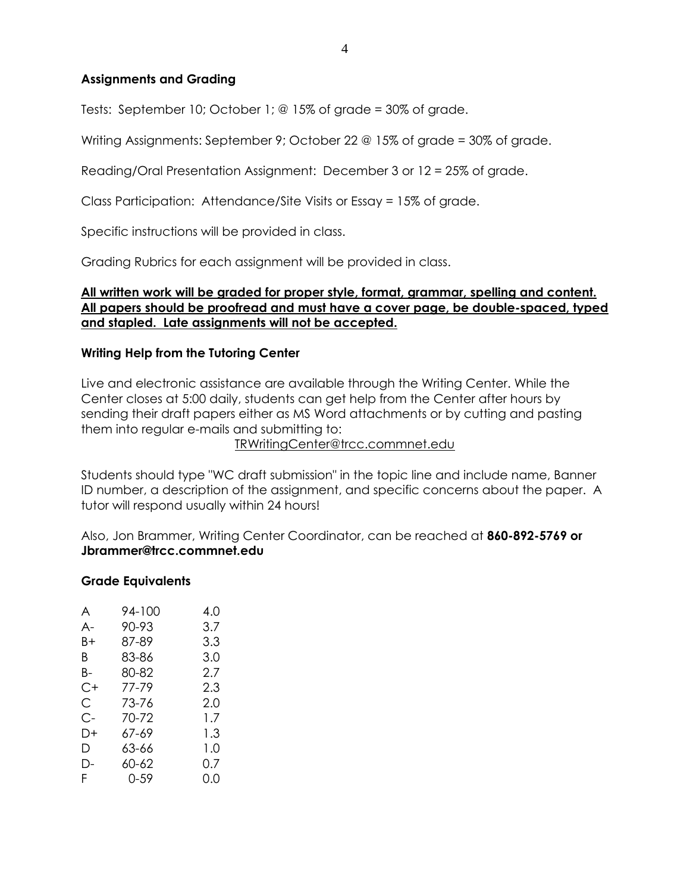### **Assignments and Grading**

Tests: September 10; October 1; @ 15% of grade = 30% of grade.

Writing Assignments: September 9; October 22 @ 15% of grade = 30% of grade.

Reading/Oral Presentation Assignment: December 3 or 12 = 25% of grade.

Class Participation: Attendance/Site Visits or Essay = 15% of grade.

Specific instructions will be provided in class.

Grading Rubrics for each assignment will be provided in class.

## **All written work will be graded for proper style, format, grammar, spelling and content. All papers should be proofread and must have a cover page, be double-spaced, typed and stapled. Late assignments will not be accepted.**

### **Writing Help from the Tutoring Center**

Live and electronic assistance are available through the Writing Center. While the Center closes at 5:00 daily, students can get help from the Center after hours by sending their draft papers either as MS Word attachments or by cutting and pasting them into regular e-mails and submitting to:

TRWritingCenter@trcc.commnet.edu

Students should type "WC draft submission" in the topic line and include name, Banner ID number, a description of the assignment, and specific concerns about the paper. A tutor will respond usually within 24 hours!

Also, Jon Brammer, Writing Center Coordinator, can be reached at **860-892-5769 or Jbrammer@trcc.commnet.edu**

### **Grade Equivalents**

| A  | 94-100 | 4.0 |
|----|--------|-----|
| A- | 90-93  | 3.7 |
| B+ | 87-89  | 3.3 |
| B. | 83-86  | 3.0 |
| B- | 80-82  | 2.7 |
| C+ | 77-79  | 2.3 |
| С  | 73-76  | 2.0 |
| C- | 70-72  | 1.7 |
| D+ | 67-69  | 1.3 |
| D  | 63-66  | 1.0 |
| D- | 60-62  | 0.7 |
| F. | 0-59   | 0.0 |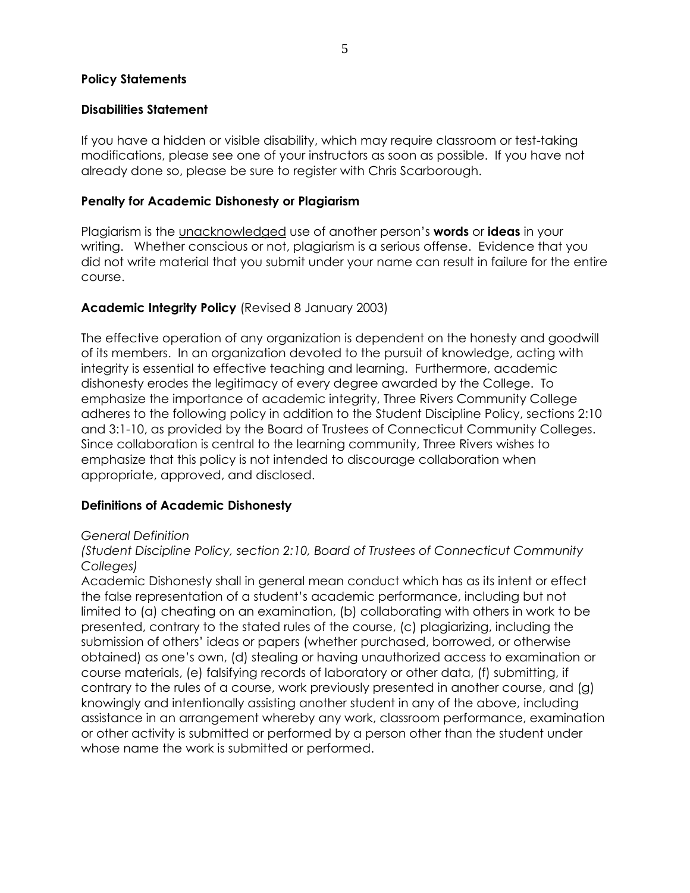#### **Policy Statements**

#### **Disabilities Statement**

If you have a hidden or visible disability, which may require classroom or test-taking modifications, please see one of your instructors as soon as possible. If you have not already done so, please be sure to register with Chris Scarborough.

#### **Penalty for Academic Dishonesty or Plagiarism**

Plagiarism is the unacknowledged use of another person's **words** or **ideas** in your writing. Whether conscious or not, plagiarism is a serious offense. Evidence that you did not write material that you submit under your name can result in failure for the entire course.

### **Academic Integrity Policy** (Revised 8 January 2003)

The effective operation of any organization is dependent on the honesty and goodwill of its members. In an organization devoted to the pursuit of knowledge, acting with integrity is essential to effective teaching and learning. Furthermore, academic dishonesty erodes the legitimacy of every degree awarded by the College. To emphasize the importance of academic integrity, Three Rivers Community College adheres to the following policy in addition to the Student Discipline Policy, sections 2:10 and 3:1-10, as provided by the Board of Trustees of Connecticut Community Colleges. Since collaboration is central to the learning community, Three Rivers wishes to emphasize that this policy is not intended to discourage collaboration when appropriate, approved, and disclosed.

### **Definitions of Academic Dishonesty**

#### *General Definition*

*(Student Discipline Policy, section 2:10, Board of Trustees of Connecticut Community Colleges)*

Academic Dishonesty shall in general mean conduct which has as its intent or effect the false representation of a student's academic performance, including but not limited to (a) cheating on an examination, (b) collaborating with others in work to be presented, contrary to the stated rules of the course, (c) plagiarizing, including the submission of others' ideas or papers (whether purchased, borrowed, or otherwise obtained) as one's own, (d) stealing or having unauthorized access to examination or course materials, (e) falsifying records of laboratory or other data, (f) submitting, if contrary to the rules of a course, work previously presented in another course, and (g) knowingly and intentionally assisting another student in any of the above, including assistance in an arrangement whereby any work, classroom performance, examination or other activity is submitted or performed by a person other than the student under whose name the work is submitted or performed.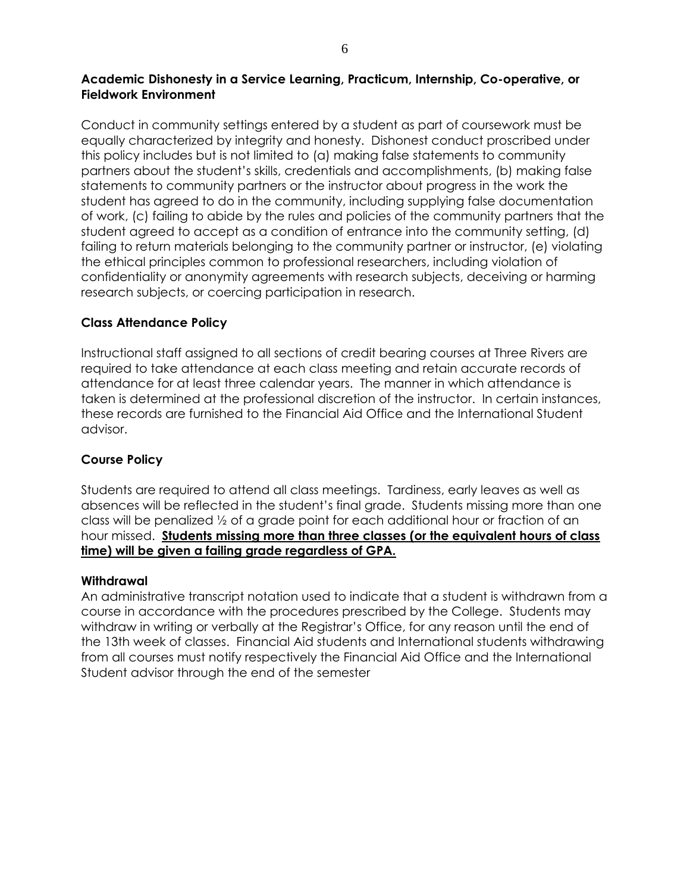### **Academic Dishonesty in a Service Learning, Practicum, Internship, Co-operative, or Fieldwork Environment**

Conduct in community settings entered by a student as part of coursework must be equally characterized by integrity and honesty. Dishonest conduct proscribed under this policy includes but is not limited to (a) making false statements to community partners about the student's skills, credentials and accomplishments, (b) making false statements to community partners or the instructor about progress in the work the student has agreed to do in the community, including supplying false documentation of work, (c) failing to abide by the rules and policies of the community partners that the student agreed to accept as a condition of entrance into the community setting, (d) failing to return materials belonging to the community partner or instructor, (e) violating the ethical principles common to professional researchers, including violation of confidentiality or anonymity agreements with research subjects, deceiving or harming research subjects, or coercing participation in research.

## **Class Attendance Policy**

Instructional staff assigned to all sections of credit bearing courses at Three Rivers are required to take attendance at each class meeting and retain accurate records of attendance for at least three calendar years. The manner in which attendance is taken is determined at the professional discretion of the instructor. In certain instances, these records are furnished to the Financial Aid Office and the International Student advisor.

## **Course Policy**

Students are required to attend all class meetings. Tardiness, early leaves as well as absences will be reflected in the student's final grade. Students missing more than one class will be penalized ½ of a grade point for each additional hour or fraction of an hour missed. **Students missing more than three classes (or the equivalent hours of class time) will be given a failing grade regardless of GPA.**

### **Withdrawal**

An administrative transcript notation used to indicate that a student is withdrawn from a course in accordance with the procedures prescribed by the College. Students may withdraw in writing or verbally at the Registrar's Office, for any reason until the end of the 13th week of classes. Financial Aid students and International students withdrawing from all courses must notify respectively the Financial Aid Office and the International Student advisor through the end of the semester